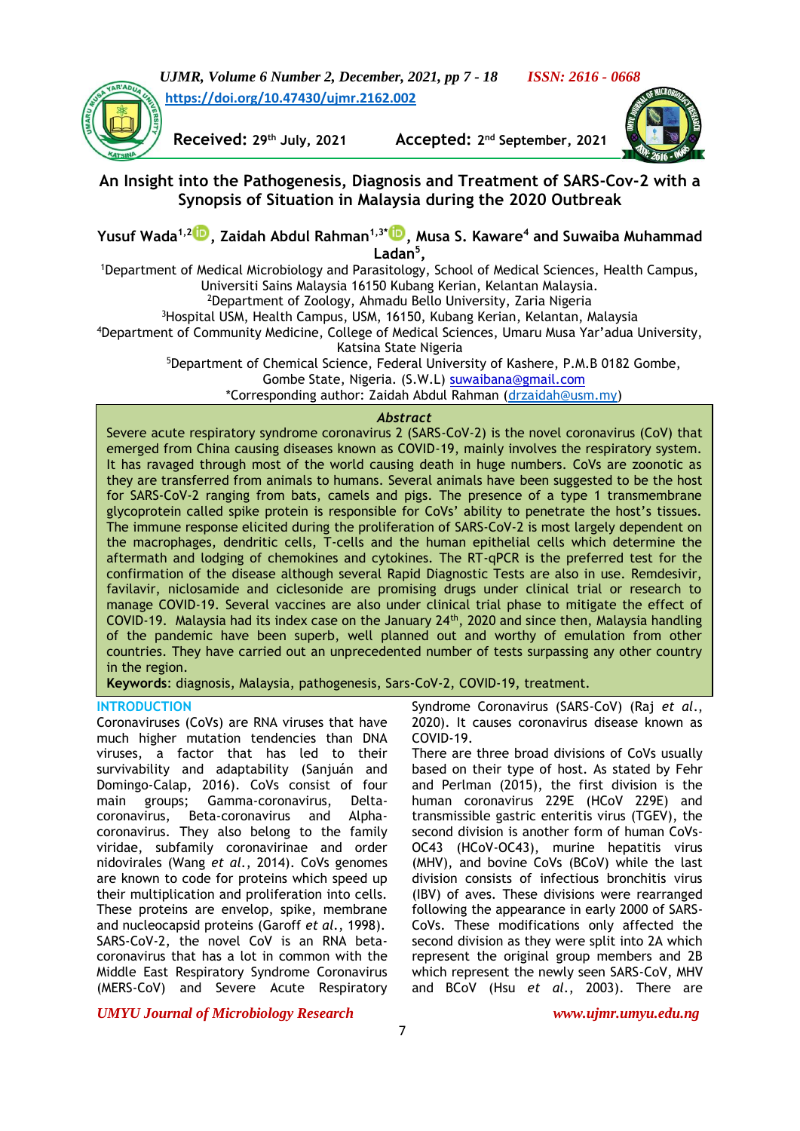*UJMR, Volume 6 Number 2, December, 2021, pp 7 - 18 ISSN: 2616 - 0668* **<https://doi.org/10.47430/ujmr.2162.002>**



 $Received: 29<sup>th</sup> July, 2021$ 

Accepted: 2<sup>nd</sup> September, 2021



# **An Insight into the Pathogenesis, Diagnosis and Treatment of SARS-Cov-2 with a Synopsis of Situation in Malaysia during the 2020 Outbreak**

**Yusuf Wada1,2 [,](https://orcid.org/0000-0003-0003-9581) Zaidah Abdul Rahman1,3\* [,](https://orcid.org/0000-0002-6612-8360) Musa S. Kaware<sup>4</sup> and Suwaiba Muhammad Ladan<sup>5</sup> ,**

<sup>1</sup>Department of Medical Microbiology and Parasitology, School of Medical Sciences, Health Campus, Universiti Sains Malaysia 16150 Kubang Kerian, Kelantan Malaysia. <sup>2</sup>Department of Zoology, Ahmadu Bello University, Zaria Nigeria

<sup>3</sup>Hospital USM, Health Campus, USM, 16150, Kubang Kerian, Kelantan, Malaysia

<sup>4</sup>Department of Community Medicine, College of Medical Sciences, Umaru Musa Yar'adua University, Katsina State Nigeria

<sup>5</sup>Department of Chemical Science, Federal University of Kashere, P.M.B 0182 Gombe,

Gombe State, Nigeria. (S.W.L) [suwaibana@gmail.com](https://mail.google.com/mail/u/0/h/if2a895rmuxr/?&cs=wh&v=b&to=suwaibana@gmail.com)

\*Corresponding author: Zaidah Abdul Rahman [\(drzaidah@usm.my\)](mailto:drzaidah@usm.my)

### *Abstract*

Severe acute respiratory syndrome coronavirus 2 (SARS-CoV-2) is the novel coronavirus (CoV) that emerged from China causing diseases known as COVID-19, mainly involves the respiratory system. It has ravaged through most of the world causing death in huge numbers. CoVs are zoonotic as they are transferred from animals to humans. Several animals have been suggested to be the host for SARS-CoV-2 ranging from bats, camels and pigs. The presence of a type 1 transmembrane glycoprotein called spike protein is responsible for CoVs' ability to penetrate the host's tissues. The immune response elicited during the proliferation of SARS-CoV-2 is most largely dependent on the macrophages, dendritic cells, T-cells and the human epithelial cells which determine the aftermath and lodging of chemokines and cytokines. The RT-qPCR is the preferred test for the confirmation of the disease although several Rapid Diagnostic Tests are also in use. Remdesivir, favilavir, niclosamide and ciclesonide are promising drugs under clinical trial or research to manage COVID-19. Several vaccines are also under clinical trial phase to mitigate the effect of COVID-19. Malaysia had its index case on the January 24th, 2020 and since then, Malaysia handling of the pandemic have been superb, well planned out and worthy of emulation from other countries. They have carried out an unprecedented number of tests surpassing any other country in the region.

**Keywords**: diagnosis, Malaysia, pathogenesis, Sars-CoV-2, COVID-19, treatment.

## **INTRODUCTION**

Coronaviruses (CoVs) are RNA viruses that have much higher mutation tendencies than DNA viruses, a factor that has led to their survivability and adaptability (Sanjuán and Domingo-Calap, 2016). CoVs consist of four main groups; Gamma-coronavirus, Deltacoronavirus, Beta-coronavirus and Alphacoronavirus. They also belong to the family viridae, subfamily coronavirinae and order nidovirales (Wang *et al.*, 2014). CoVs genomes are known to code for proteins which speed up their multiplication and proliferation into cells. These proteins are envelop, spike, membrane and nucleocapsid proteins (Garoff *et al.*, 1998). SARS-CoV-2, the novel CoV is an RNA betacoronavirus that has a lot in common with the Middle East Respiratory Syndrome Coronavirus (MERS-CoV) and Severe Acute Respiratory

Syndrome Coronavirus (SARS-CoV) (Raj *et al*., 2020). It causes coronavirus disease known as COVID-19.

There are three broad divisions of CoVs usually based on their type of host. As stated by Fehr and Perlman (2015), the first division is the human coronavirus 229E (HCoV 229E) and transmissible gastric enteritis virus (TGEV), the second division is another form of human CoVs-OC43 (HCoV-OC43), murine hepatitis virus (MHV), and bovine CoVs (BCoV) while the last division consists of infectious bronchitis virus (IBV) of aves. These divisions were rearranged following the appearance in early 2000 of SARS-CoVs. These modifications only affected the second division as they were split into 2A which represent the original group members and 2B which represent the newly seen SARS-CoV, MHV and BCoV (Hsu *et al*., 2003). There are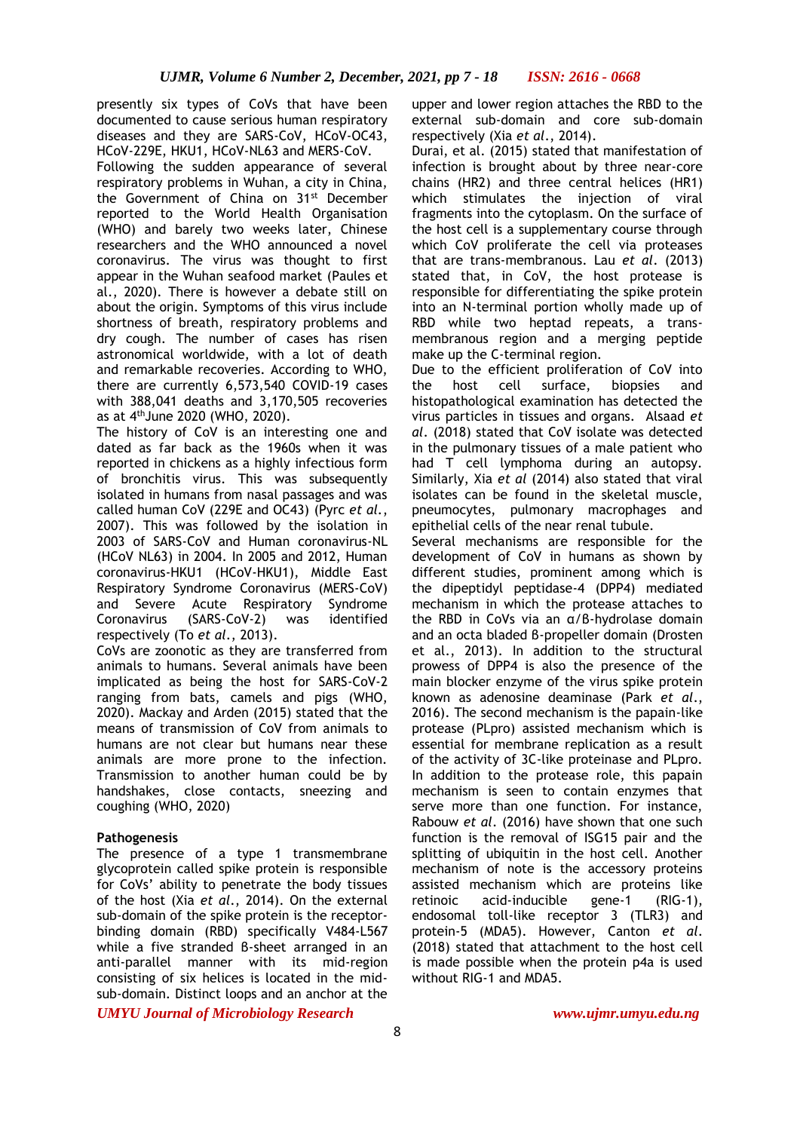presently six types of CoVs that have been documented to cause serious human respiratory diseases and they are SARS-CoV, HCoV-OC43, HCoV-229E, HKU1, HCoV-NL63 and MERS-CoV.

Following the sudden appearance of several respiratory problems in Wuhan, a city in China, the Government of China on 31<sup>st</sup> December reported to the World Health Organisation (WHO) and barely two weeks later, Chinese researchers and the WHO announced a novel coronavirus. The virus was thought to first appear in the Wuhan seafood market (Paules et al., 2020). There is however a debate still on about the origin. Symptoms of this virus include shortness of breath, respiratory problems and dry cough. The number of cases has risen astronomical worldwide, with a lot of death and remarkable recoveries. According to WHO, there are currently 6,573,540 COVID-19 cases with 388,041 deaths and 3,170,505 recoveries as at 4thJune 2020 (WHO, 2020).

The history of CoV is an interesting one and dated as far back as the 1960s when it was reported in chickens as a highly infectious form of bronchitis virus. This was subsequently isolated in humans from nasal passages and was called human CoV (229E and OC43) (Pyrc *et al.*, 2007). This was followed by the isolation in 2003 of SARS-CoV and Human coronavirus-NL (HCoV NL63) in 2004. In 2005 and 2012, Human coronavirus-HKU1 (HCoV-HKU1), Middle East Respiratory Syndrome Coronavirus (MERS-CoV) and Severe Acute Respiratory Syndrome Coronavirus (SARS-CoV-2) was identified respectively (To *et al*., 2013).

CoVs are zoonotic as they are transferred from animals to humans. Several animals have been implicated as being the host for SARS-CoV-2 ranging from bats, camels and pigs (WHO, 2020). Mackay and Arden (2015) stated that the means of transmission of CoV from animals to humans are not clear but humans near these animals are more prone to the infection. Transmission to another human could be by handshakes, close contacts, sneezing and coughing (WHO, 2020)

## **Pathogenesis**

The presence of a type 1 transmembrane glycoprotein called spike protein is responsible for CoVs' ability to penetrate the body tissues of the host (Xia *et al*., 2014). On the external sub-domain of the spike protein is the receptorbinding domain (RBD) specifically V484-L567 while a five stranded β-sheet arranged in an anti-parallel manner with its mid-region consisting of six helices is located in the midsub-domain. Distinct loops and an anchor at the

upper and lower region attaches the RBD to the external sub-domain and core sub-domain respectively (Xia *et al*., 2014).

Durai, et al. (2015) stated that manifestation of infection is brought about by three near-core chains (HR2) and three central helices (HR1) which stimulates the injection of viral fragments into the cytoplasm. On the surface of the host cell is a supplementary course through which CoV proliferate the cell via proteases that are trans-membranous. Lau *et al*. (2013) stated that, in CoV, the host protease is responsible for differentiating the spike protein into an N-terminal portion wholly made up of RBD while two heptad repeats, a transmembranous region and a merging peptide make up the C-terminal region.

Due to the efficient proliferation of CoV into the host cell surface, biopsies and histopathological examination has detected the virus particles in tissues and organs. Alsaad *et al*. (2018) stated that CoV isolate was detected in the pulmonary tissues of a male patient who had T cell lymphoma during an autopsy. Similarly, Xia *et al* (2014) also stated that viral isolates can be found in the skeletal muscle, pneumocytes, pulmonary macrophages and epithelial cells of the near renal tubule.

Several mechanisms are responsible for the development of CoV in humans as shown by different studies, prominent among which is the dipeptidyl peptidase-4 (DPP4) mediated mechanism in which the protease attaches to the RBD in CoVs via an α/β-hydrolase domain and an octa bladed β-propeller domain (Drosten et al., 2013). In addition to the structural prowess of DPP4 is also the presence of the main blocker enzyme of the virus spike protein known as adenosine deaminase (Park *et al*., 2016). The second mechanism is the papain-like protease (PLpro) assisted mechanism which is essential for membrane replication as a result of the activity of 3C-like proteinase and PLpro. In addition to the protease role, this papain mechanism is seen to contain enzymes that serve more than one function. For instance, Rabouw *et al*. (2016) have shown that one such function is the removal of ISG15 pair and the splitting of ubiquitin in the host cell. Another mechanism of note is the accessory proteins assisted mechanism which are proteins like retinoic acid-inducible gene-1 (RIG-1), endosomal toll-like receptor 3 (TLR3) and protein-5 (MDA5). However, Canton *et al*. (2018) stated that attachment to the host cell is made possible when the protein p4a is used without RIG-1 and MDA5.

*UMYU Journal of Microbiology Research www.ujmr.umyu.edu.ng*

8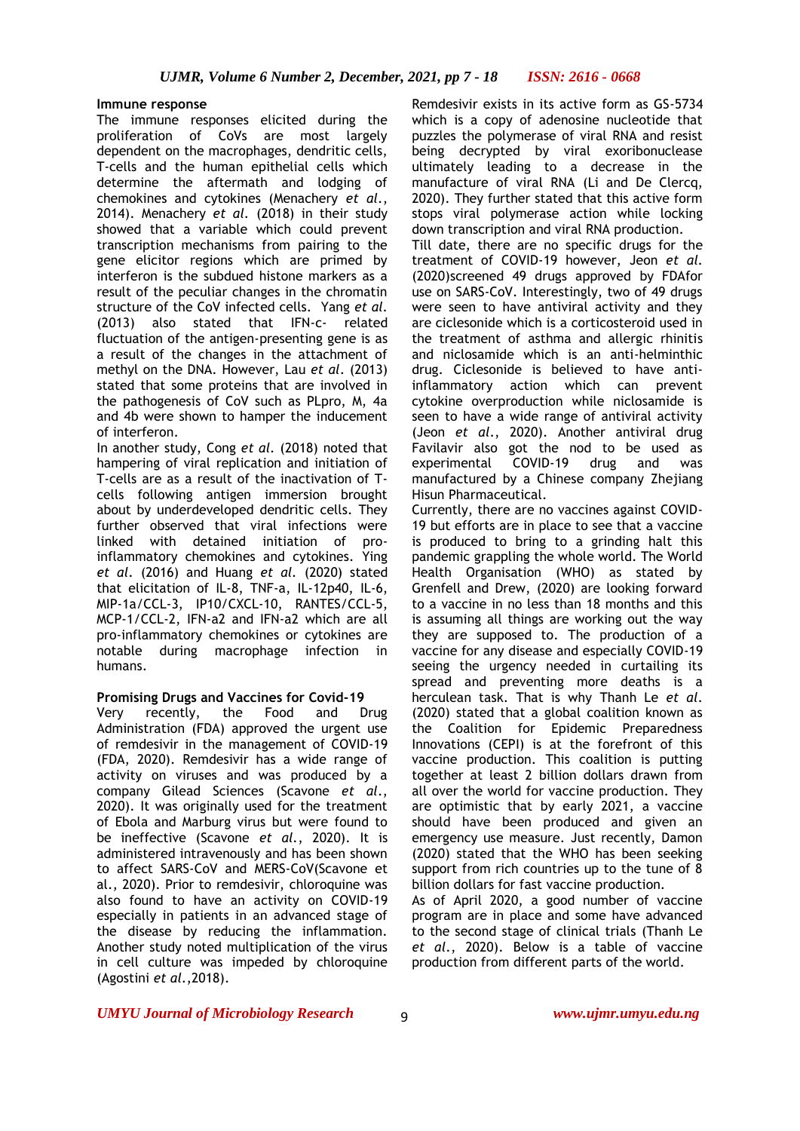## **Immune response**

The immune responses elicited during the proliferation of CoVs are most largely dependent on the macrophages, dendritic cells, T-cells and the human epithelial cells which determine the aftermath and lodging of chemokines and cytokines (Menachery *et al*., 2014). Menachery *et al.* (2018) in their study showed that a variable which could prevent transcription mechanisms from pairing to the gene elicitor regions which are primed by interferon is the subdued histone markers as a result of the peculiar changes in the chromatin structure of the CoV infected cells. Yang *et al.* (2013) also stated that IFN-c- related fluctuation of the antigen-presenting gene is as a result of the changes in the attachment of methyl on the DNA. However, Lau *et al*. (2013) stated that some proteins that are involved in the pathogenesis of CoV such as PLpro, M, 4a and 4b were shown to hamper the inducement of interferon.

In another study, Cong *et al.* (2018) noted that hampering of viral replication and initiation of T-cells are as a result of the inactivation of Tcells following antigen immersion brought about by underdeveloped dendritic cells. They further observed that viral infections were linked with detained initiation of proinflammatory chemokines and cytokines. Ying *et al*. (2016) and Huang *et al.* (2020) stated that elicitation of IL-8, TNF-a, IL-12p40, IL-6, MIP-1a/CCL-3, IP10/CXCL-10, RANTES/CCL-5, MCP-1/CCL-2, IFN-a2 and IFN-a2 which are all pro-inflammatory chemokines or cytokines are notable during macrophage infection in humans.

## **Promising Drugs and Vaccines for Covid-19**

Very recently, the Food and Drug Administration (FDA) approved the urgent use of remdesivir in the management of COVID-19 (FDA, 2020). Remdesivir has a wide range of activity on viruses and was produced by a company Gilead Sciences (Scavone *et al*., 2020). It was originally used for the treatment of Ebola and Marburg virus but were found to be ineffective (Scavone *et al.*, 2020). It is administered intravenously and has been shown to affect SARS-CoV and MERS-CoV(Scavone et al., 2020). Prior to remdesivir, chloroquine was also found to have an activity on COVID-19 especially in patients in an advanced stage of the disease by reducing the inflammation. Another study noted multiplication of the virus in cell culture was impeded by chloroquine (Agostini *et al*.,2018).

Remdesivir exists in its active form as GS-5734 which is a copy of adenosine nucleotide that puzzles the polymerase of viral RNA and resist being decrypted by viral exoribonuclease ultimately leading to a decrease in the manufacture of viral RNA (Li and De Clercq, 2020). They further stated that this active form stops viral polymerase action while locking down transcription and viral RNA production.

Till date, there are no specific drugs for the treatment of COVID-19 however, Jeon *et al.* (2020)screened 49 drugs approved by FDAfor use on SARS-CoV. Interestingly, two of 49 drugs were seen to have antiviral activity and they are ciclesonide which is a corticosteroid used in the treatment of asthma and allergic rhinitis and niclosamide which is an anti-helminthic drug. Ciclesonide is believed to have antiinflammatory action which can prevent cytokine overproduction while niclosamide is seen to have a wide range of antiviral activity (Jeon *et al*., 2020). Another antiviral drug Favilavir also got the nod to be used as experimental COVID-19 drug and was manufactured by a Chinese company Zhejiang Hisun Pharmaceutical.

Currently, there are no vaccines against COVID-19 but efforts are in place to see that a vaccine is produced to bring to a grinding halt this pandemic grappling the whole world. The World Health Organisation (WHO) as stated by Grenfell and Drew, (2020) are looking forward to a vaccine in no less than 18 months and this is assuming all things are working out the way they are supposed to. The production of a vaccine for any disease and especially COVID-19 seeing the urgency needed in curtailing its spread and preventing more deaths is a herculean task. That is why Thanh Le *et al*. (2020) stated that a global coalition known as the Coalition for Epidemic Preparedness Innovations (CEPI) is at the forefront of this vaccine production. This coalition is putting together at least 2 billion dollars drawn from all over the world for vaccine production. They are optimistic that by early 2021, a vaccine should have been produced and given an emergency use measure. Just recently, Damon (2020) stated that the WHO has been seeking support from rich countries up to the tune of 8 billion dollars for fast vaccine production.

As of April 2020, a good number of vaccine program are in place and some have advanced to the second stage of clinical trials (Thanh Le *et al*., 2020). Below is a table of vaccine production from different parts of the world.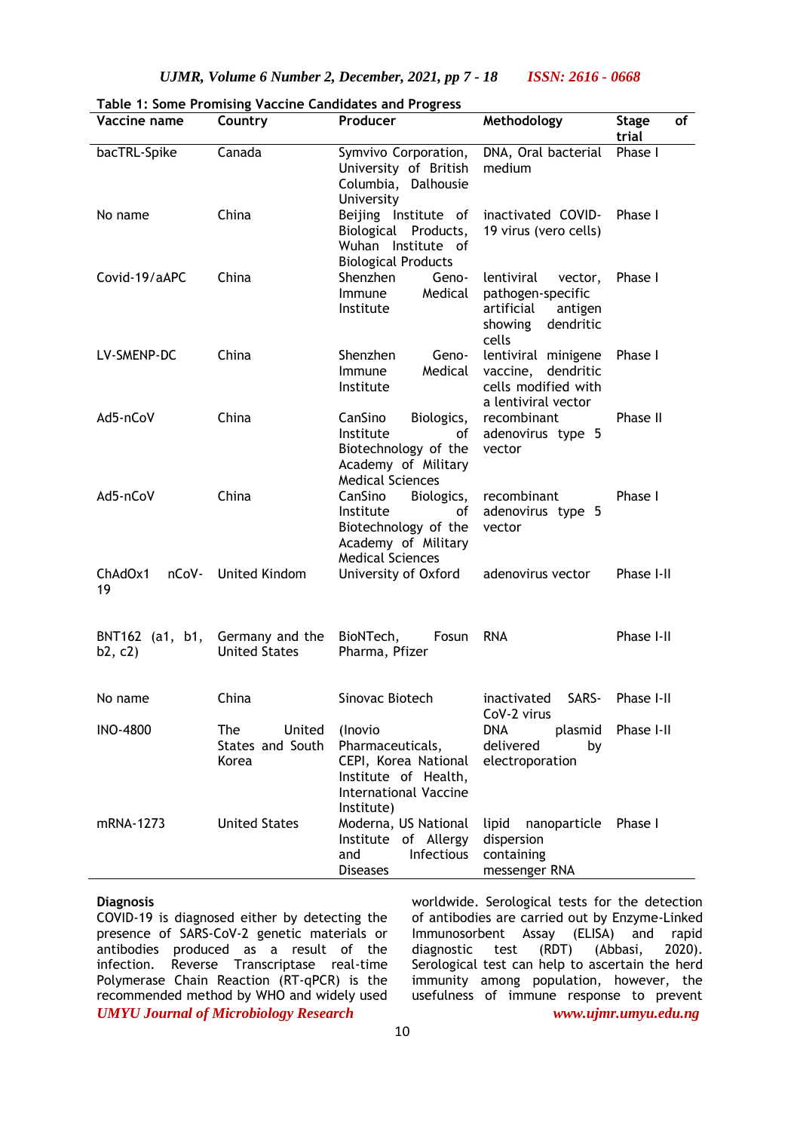| Vaccine name               | Country                                    | Producer                                                                                                                  | Methodology                                                                                          | of<br><b>Stage</b><br>trial |
|----------------------------|--------------------------------------------|---------------------------------------------------------------------------------------------------------------------------|------------------------------------------------------------------------------------------------------|-----------------------------|
| bacTRL-Spike               | Canada                                     | Symvivo Corporation,<br>University of British<br>Columbia, Dalhousie<br>University                                        | DNA, Oral bacterial<br>medium                                                                        | Phase I                     |
| No name                    | China                                      | Beijing Institute of<br>Biological Products,<br>Wuhan Institute of<br><b>Biological Products</b>                          | inactivated COVID-<br>19 virus (vero cells)                                                          | Phase I                     |
| Covid-19/aAPC              | China                                      | Shenzhen<br>Geno-<br>Medical<br>Immune<br>Institute                                                                       | lentiviral<br>vector,<br>pathogen-specific<br>artificial<br>antigen<br>dendritic<br>showing<br>cells | Phase I                     |
| LV-SMENP-DC                | China                                      | Shenzhen<br>Geno-<br>Medical<br>Immune<br>Institute                                                                       | lentiviral minigene<br>vaccine,<br>dendritic<br>cells modified with<br>a lentiviral vector           | Phase I                     |
| Ad5-nCoV                   | China                                      | CanSino<br>Biologics,<br>Institute<br>οf<br>Biotechnology of the<br>Academy of Military<br><b>Medical Sciences</b>        | recombinant<br>adenovirus type 5<br>vector                                                           | Phase II                    |
| Ad5-nCoV                   | China                                      | CanSino<br>Biologics,<br>Institute<br>οf<br>Biotechnology of the<br>Academy of Military<br><b>Medical Sciences</b>        | recombinant<br>adenovirus type 5<br>vector                                                           | Phase I                     |
| ChAdOx1<br>nCoV-<br>19     | United Kindom<br>University of Oxford      |                                                                                                                           | adenovirus vector                                                                                    | Phase I-II                  |
| BNT162 (a1, b1,<br>b2, c2) | Germany and the<br><b>United States</b>    | BioNTech,<br><b>Fosun</b><br>Pharma, Pfizer                                                                               | <b>RNA</b>                                                                                           | Phase I-II                  |
| No name                    | China                                      | Sinovac Biotech                                                                                                           | SARS-<br>inactivated<br>CoV-2 virus                                                                  | Phase I-II                  |
| <b>INO-4800</b>            | The<br>United<br>States and South<br>Korea | (Inovio<br>Pharmaceuticals,<br>CEPI, Korea National<br>Institute of Health,<br><b>International Vaccine</b><br>Institute) | DNA<br>plasmid<br>delivered<br>by<br>electroporation                                                 | Phase I-II                  |
| mRNA-1273                  | <b>United States</b>                       | Moderna, US National<br>Institute of Allergy<br>Infectious<br>and<br><b>Diseases</b>                                      | nanoparticle Phase I<br>lipid<br>dispersion<br>containing<br>messenger RNA                           |                             |

**Table 1: Some Promising Vaccine Candidates and Progress**

## **Diagnosis**

*UMYU Journal of Microbiology Research www.ujmr.umyu.edu.ng* COVID-19 is diagnosed either by detecting the presence of SARS-CoV-2 genetic materials or antibodies produced as a result of the infection. Reverse Transcriptase real-time Polymerase Chain Reaction (RT-qPCR) is the recommended method by WHO and widely used

worldwide. Serological tests for the detection of antibodies are carried out by Enzyme-Linked Immunosorbent Assay (ELISA) and rapid diagnostic test (RDT) (Abbasi, 2020). Serological test can help to ascertain the herd immunity among population, however, the usefulness of immune response to prevent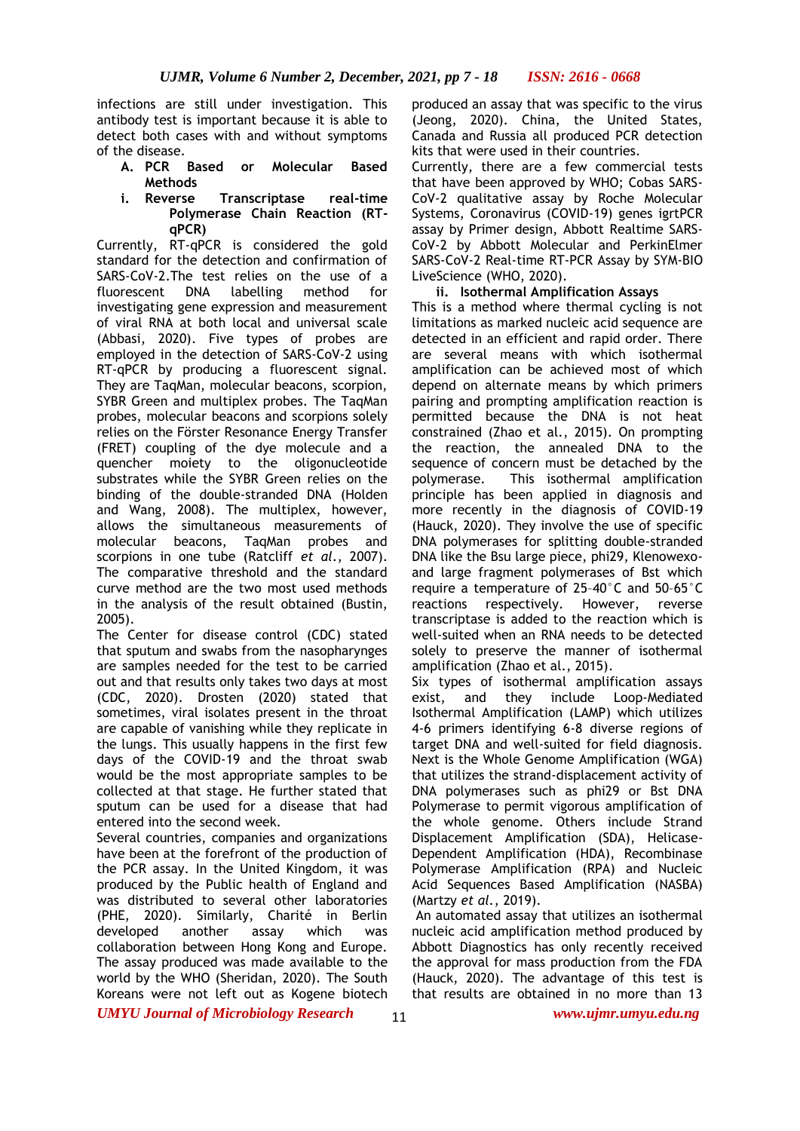infections are still under investigation. This antibody test is important because it is able to detect both cases with and without symptoms of the disease.

- **A. PCR Based or Molecular Based Methods**
- **i. Reverse Transcriptase real-time Polymerase Chain Reaction (RTqPCR)**

Currently, RT-qPCR is considered the gold standard for the detection and confirmation of SARS-CoV-2.The test relies on the use of a fluorescent DNA labelling method for investigating gene expression and measurement of viral RNA at both local and universal scale (Abbasi, 2020). Five types of probes are employed in the detection of SARS-CoV-2 using RT-qPCR by producing a fluorescent signal. They are TaqMan, molecular beacons, scorpion, SYBR Green and multiplex probes. The TaqMan probes, molecular beacons and scorpions solely relies on the Förster Resonance Energy Transfer (FRET) coupling of the dye molecule and a quencher moiety to the oligonucleotide substrates while the SYBR Green relies on the binding of the double-stranded DNA (Holden and Wang, 2008). The multiplex, however, allows the simultaneous measurements of molecular beacons, TaqMan probes and scorpions in one tube (Ratcliff *et al*., 2007). The comparative threshold and the standard curve method are the two most used methods in the analysis of the result obtained (Bustin, 2005).

The Center for disease control (CDC) stated that sputum and swabs from the nasopharynges are samples needed for the test to be carried out and that results only takes two days at most (CDC, 2020). Drosten (2020) stated that sometimes, viral isolates present in the throat are capable of vanishing while they replicate in the lungs. This usually happens in the first few days of the COVID-19 and the throat swab would be the most appropriate samples to be collected at that stage. He further stated that sputum can be used for a disease that had entered into the second week.

Several countries, companies and organizations have been at the forefront of the production of the PCR assay. In the United Kingdom, it was produced by the Public health of England and was distributed to several other laboratories (PHE, 2020). Similarly, Charité in Berlin developed another assay which was collaboration between Hong Kong and Europe. The assay produced was made available to the world by the WHO (Sheridan, 2020). The South Koreans were not left out as Kogene biotech

produced an assay that was specific to the virus (Jeong, 2020). China, the United States, Canada and Russia all produced PCR detection kits that were used in their countries.

Currently, there are a few commercial tests that have been approved by WHO; Cobas SARS-CoV-2 qualitative assay by Roche Molecular Systems, Coronavirus (COVID-19) genes igrtPCR assay by Primer design, Abbott Realtime SARS-CoV-2 by Abbott Molecular and PerkinElmer SARS-CoV-2 Real-time RT-PCR Assay by SYM-BIO LiveScience (WHO, 2020).

## **ii. Isothermal Amplification Assays**

This is a method where thermal cycling is not limitations as marked nucleic acid sequence are detected in an efficient and rapid order. There are several means with which isothermal amplification can be achieved most of which depend on alternate means by which primers pairing and prompting amplification reaction is permitted because the DNA is not heat constrained (Zhao et al., 2015). On prompting the reaction, the annealed DNA to the sequence of concern must be detached by the polymerase. This isothermal amplification principle has been applied in diagnosis and more recently in the diagnosis of COVID-19 (Hauck, 2020). They involve the use of specific DNA polymerases for splitting double-stranded DNA like the Bsu large piece, phi29, Klenowexoand large fragment polymerases of Bst which require a temperature of 25–40°C and 50–65°C reactions respectively. However, reverse transcriptase is added to the reaction which is well-suited when an RNA needs to be detected solely to preserve the manner of isothermal amplification (Zhao et al., 2015).

Six types of isothermal amplification assays exist, and they include Loop-Mediated Isothermal Amplification (LAMP) which utilizes 4-6 primers identifying 6-8 diverse regions of target DNA and well-suited for field diagnosis. Next is the Whole Genome Amplification (WGA) that utilizes the strand-displacement activity of DNA polymerases such as phi29 or Bst DNA Polymerase to permit vigorous amplification of the whole genome. Others include Strand Displacement Amplification (SDA), Helicase-Dependent Amplification (HDA), Recombinase Polymerase Amplification (RPA) and Nucleic Acid Sequences Based Amplification (NASBA) (Martzy *et al.*, 2019).

An automated assay that utilizes an isothermal nucleic acid amplification method produced by Abbott Diagnostics has only recently received the approval for mass production from the FDA (Hauck, 2020). The advantage of this test is that results are obtained in no more than 13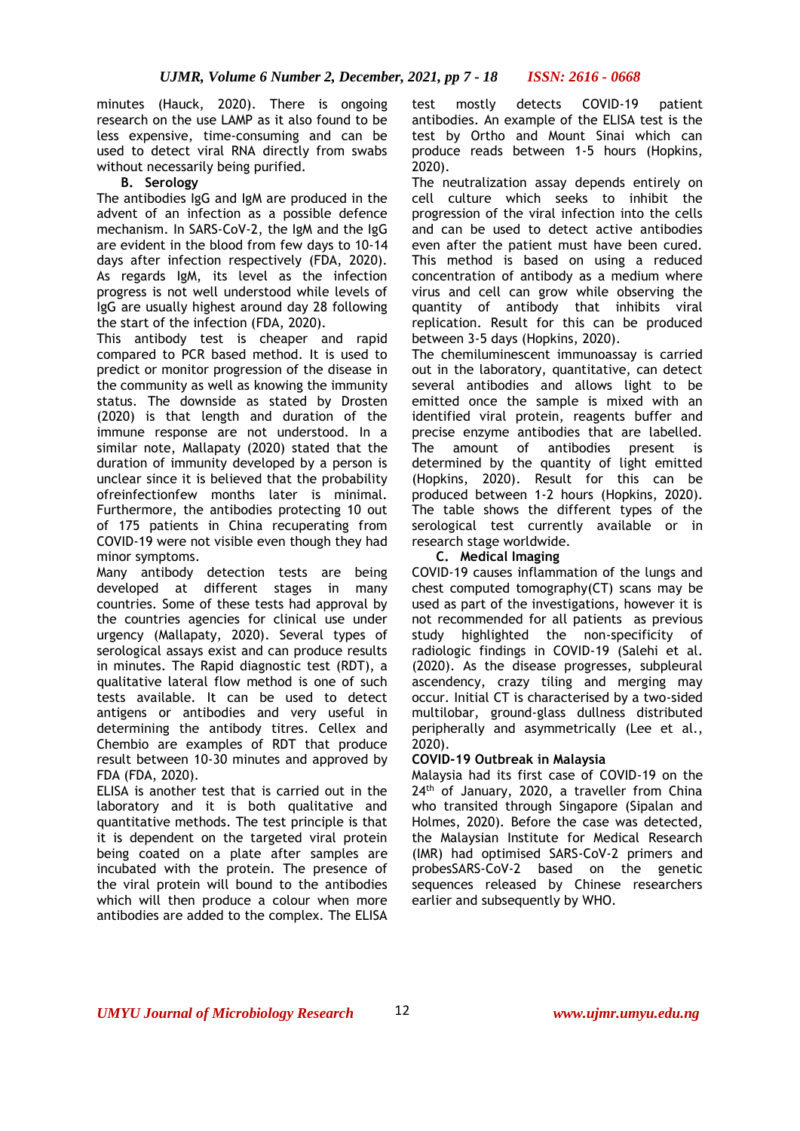minutes (Hauck, 2020). There is ongoing research on the use LAMP as it also found to be less expensive, time-consuming and can be used to detect viral RNA directly from swabs without necessarily being purified.

## **B. Serology**

The antibodies IgG and IgM are produced in the advent of an infection as a possible defence mechanism. In SARS-CoV-2, the IgM and the IgG are evident in the blood from few days to 10-14 days after infection respectively (FDA, 2020). As regards IgM, its level as the infection progress is not well understood while levels of IgG are usually highest around day 28 following the start of the infection (FDA, 2020).

This antibody test is cheaper and rapid compared to PCR based method. It is used to predict or monitor progression of the disease in the community as well as knowing the immunity status. The downside as stated by Drosten (2020) is that length and duration of the immune response are not understood. In a similar note, Mallapaty (2020) stated that the duration of immunity developed by a person is unclear since it is believed that the probability ofreinfectionfew months later is minimal. Furthermore, the antibodies protecting 10 out of 175 patients in China recuperating from COVID-19 were not visible even though they had minor symptoms.

Many antibody detection tests are being developed at different stages in many countries. Some of these tests had approval by the countries agencies for clinical use under urgency (Mallapaty, 2020). Several types of serological assays exist and can produce results in minutes. The Rapid diagnostic test (RDT), a qualitative lateral flow method is one of such tests available. It can be used to detect antigens or antibodies and very useful in determining the antibody titres. Cellex and Chembio are examples of RDT that produce result between 10-30 minutes and approved by FDA (FDA, 2020).

ELISA is another test that is carried out in the laboratory and it is both qualitative and quantitative methods. The test principle is that it is dependent on the targeted viral protein being coated on a plate after samples are incubated with the protein. The presence of the viral protein will bound to the antibodies which will then produce a colour when more antibodies are added to the complex. The ELISA

test mostly detects COVID-19 patient antibodies. An example of the ELISA test is the test by Ortho and Mount Sinai which can produce reads between 1-5 hours (Hopkins, 2020).

The neutralization assay depends entirely on cell culture which seeks to inhibit the progression of the viral infection into the cells and can be used to detect active antibodies even after the patient must have been cured. This method is based on using a reduced concentration of antibody as a medium where virus and cell can grow while observing the quantity of antibody that inhibits viral replication. Result for this can be produced between 3-5 days (Hopkins, 2020).

The chemiluminescent immunoassay is carried out in the laboratory, quantitative, can detect several antibodies and allows light to be emitted once the sample is mixed with an identified viral protein, reagents buffer and precise enzyme antibodies that are labelled. The amount of antibodies present is determined by the quantity of light emitted (Hopkins, 2020). Result for this can be produced between 1-2 hours (Hopkins, 2020). The table shows the different types of the serological test currently available or in research stage worldwide.

## **C. Medical Imaging**

COVID-19 causes inflammation of the lungs and chest computed tomography(CT) scans may be used as part of the investigations, however it is not recommended for all patients as previous study highlighted the non-specificity of radiologic findings in COVID-19 (Salehi et al. (2020). As the disease progresses, subpleural ascendency, crazy tiling and merging may occur. Initial CT is characterised by a two-sided multilobar, ground-glass dullness distributed peripherally and asymmetrically (Lee et al., 2020).

## **COVID-19 Outbreak in Malaysia**

Malaysia had its first case of COVID-19 on the 24<sup>th</sup> of January, 2020, a traveller from China who transited through Singapore (Sipalan and Holmes, 2020). Before the case was detected, the Malaysian Institute for Medical Research (IMR) had optimised SARS-CoV-2 primers and probesSARS-CoV-2 based on the genetic sequences released by Chinese researchers earlier and subsequently by WHO.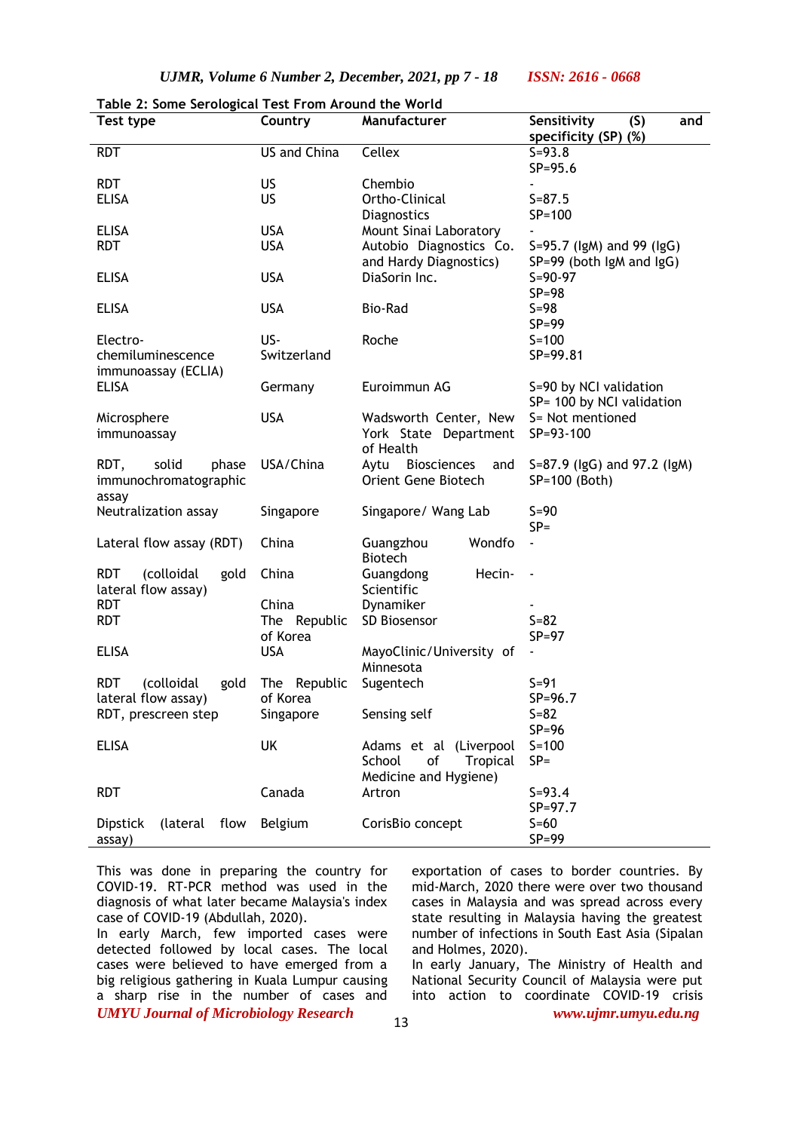| Test type                        | Country      | Manufacturer             | Sensitivity<br>(S)<br>and   |
|----------------------------------|--------------|--------------------------|-----------------------------|
|                                  |              |                          | specificity (SP) (%)        |
| <b>RDT</b>                       | US and China | Cellex                   | $S = 93.8$                  |
|                                  |              |                          | $SP = 95.6$                 |
| <b>RDT</b>                       | US.          | Chembio                  |                             |
| <b>ELISA</b>                     | US.          | Ortho-Clinical           | $S = 87.5$                  |
|                                  |              | Diagnostics              | $SP = 100$                  |
| <b>ELISA</b>                     | <b>USA</b>   | Mount Sinai Laboratory   |                             |
| <b>RDT</b>                       | <b>USA</b>   | Autobio Diagnostics Co.  | S=95.7 (IgM) and 99 (IgG)   |
|                                  |              | and Hardy Diagnostics)   | SP=99 (both lgM and lgG)    |
| <b>ELISA</b>                     | <b>USA</b>   | DiaSorin Inc.            | $S = 90 - 97$               |
|                                  |              |                          | $SP = 98$                   |
| <b>ELISA</b>                     | <b>USA</b>   | <b>Bio-Rad</b>           | $S=98$                      |
|                                  |              |                          | $SP = 99$                   |
| Electro-                         | US-          | Roche                    | $S = 100$                   |
| chemiluminescence                | Switzerland  |                          | SP=99.81                    |
| immunoassay (ECLIA)              |              |                          |                             |
| <b>ELISA</b>                     | Germany      | Euroimmun AG             | S=90 by NCI validation      |
|                                  |              |                          | SP= 100 by NCI validation   |
| Microsphere                      | <b>USA</b>   | Wadsworth Center, New    | S= Not mentioned            |
| immunoassay                      |              | York State Department    | SP=93-100                   |
|                                  |              | of Health                |                             |
| RDT,<br>solid<br>phase           | USA/China    | Aytu Biosciences<br>and  | S=87.9 (lgG) and 97.2 (lgM) |
| immunochromatographic            |              | Orient Gene Biotech      | SP=100 (Both)               |
| assay                            |              |                          |                             |
| Neutralization assay             | Singapore    | Singapore/ Wang Lab      | $S=90$                      |
|                                  |              |                          | $SP =$                      |
| Lateral flow assay (RDT)         | China        | Guangzhou<br>Wondfo      | ä,                          |
|                                  |              | <b>Biotech</b>           |                             |
| <b>RDT</b><br>(colloidal<br>gold | China        | Guangdong<br>Hecin-      |                             |
| lateral flow assay)              |              | Scientific               |                             |
| <b>RDT</b>                       | China        | Dynamiker                |                             |
| <b>RDT</b>                       | The Republic | SD Biosensor             | $S = 82$                    |
|                                  | of Korea     |                          | $SP = 97$                   |
| <b>ELISA</b>                     | <b>USA</b>   | MayoClinic/University of |                             |
|                                  |              | Minnesota                |                             |
| <b>RDT</b><br>(colloidal<br>gold | The Republic | Sugentech                | $S = 91$                    |
| lateral flow assay)              | of Korea     |                          | $SP = 96.7$                 |
| RDT, prescreen step              | Singapore    | Sensing self             | $S=82$                      |
|                                  |              |                          | $SP = 96$                   |
| <b>ELISA</b>                     | UK           | Adams et al (Liverpool   | $S = 100$                   |
|                                  |              | School<br>of<br>Tropical | $SP =$                      |
|                                  |              | Medicine and Hygiene)    |                             |
| <b>RDT</b>                       | Canada       | Artron                   | $S = 93.4$                  |
|                                  |              |                          | $SP = 97.7$                 |
| (lateral flow<br><b>Dipstick</b> | Belgium      | CorisBio concept         | $S=60$                      |
| assay)                           |              |                          | $SP = 99$                   |

|  |  |  | Table 2: Some Serological Test From Around the World |  |
|--|--|--|------------------------------------------------------|--|
|  |  |  |                                                      |  |

This was done in preparing the country for COVID-19. RT-PCR method was used in the diagnosis of what later became Malaysia's index case of COVID-19 (Abdullah, 2020).

*UMYU Journal of Microbiology Research www.ujmr.umyu.edu.ng* In early March, few imported cases were detected followed by local cases. The local cases were believed to have emerged from a big religious gathering in Kuala Lumpur causing a sharp rise in the number of cases and

exportation of cases to border countries. By mid-March, 2020 there were over two thousand cases in Malaysia and was spread across every state resulting in Malaysia having the greatest number of infections in South East Asia (Sipalan and Holmes, 2020).

In early January, The Ministry of Health and National Security Council of Malaysia were put into action to coordinate COVID-19 crisis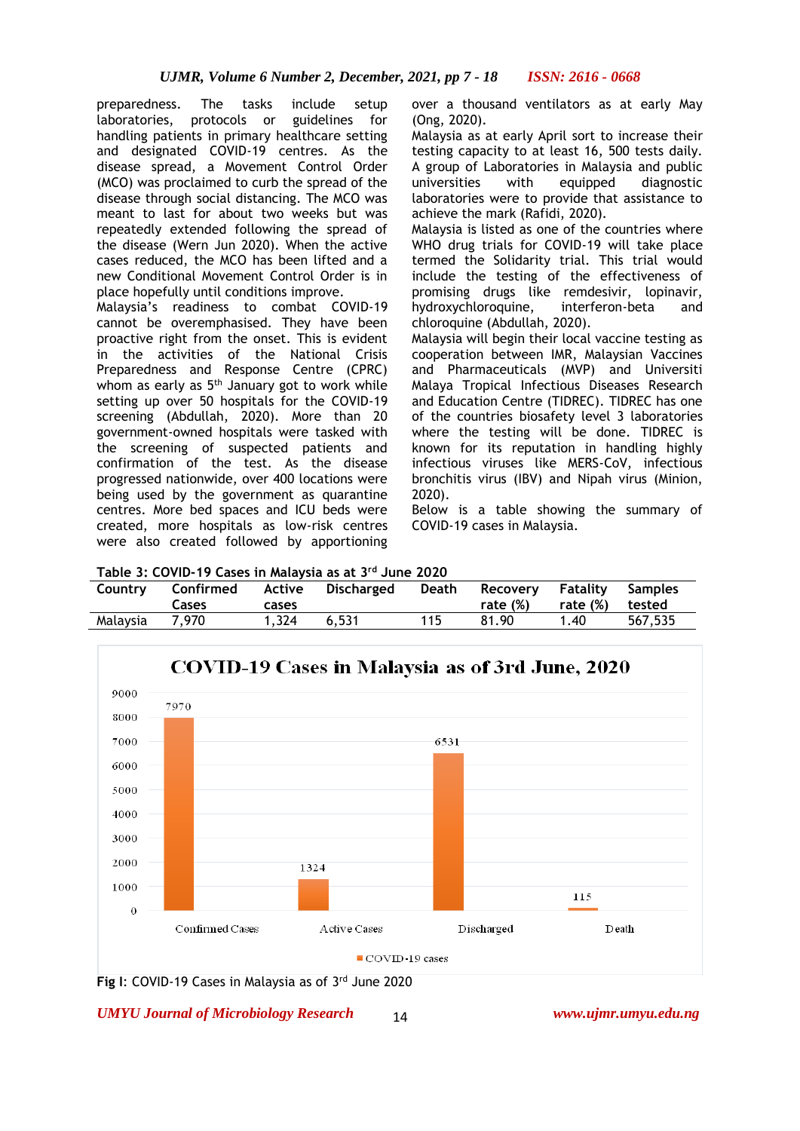preparedness. The tasks include setup laboratories, protocols or guidelines for handling patients in primary healthcare setting and designated COVID-19 centres. As the disease spread, a Movement Control Order (MCO) was proclaimed to curb the spread of the disease through social distancing. The MCO was meant to last for about two weeks but was repeatedly extended following the spread of the disease (Wern Jun 2020). When the active cases reduced, the MCO has been lifted and a new Conditional Movement Control Order is in place hopefully until conditions improve.

Malaysia's readiness to combat COVID-19 cannot be overemphasised. They have been proactive right from the onset. This is evident in the activities of the National Crisis Preparedness and Response Centre (CPRC) whom as early as 5<sup>th</sup> January got to work while setting up over 50 hospitals for the COVID-19 screening (Abdullah, 2020). More than 20 government-owned hospitals were tasked with the screening of suspected patients and confirmation of the test. As the disease progressed nationwide, over 400 locations were being used by the government as quarantine centres. More bed spaces and ICU beds were created, more hospitals as low-risk centres were also created followed by apportioning over a thousand ventilators as at early May (Ong, 2020).

Malaysia as at early April sort to increase their testing capacity to at least 16, 500 tests daily. A group of Laboratories in Malaysia and public universities with equipped diagnostic laboratories were to provide that assistance to achieve the mark (Rafidi, 2020).

Malaysia is listed as one of the countries where WHO drug trials for COVID-19 will take place termed the Solidarity trial. This trial would include the testing of the effectiveness of promising drugs like remdesivir, lopinavir, hydroxychloroquine, interferon-beta and chloroquine (Abdullah, 2020).

Malaysia will begin their local vaccine testing as cooperation between IMR, Malaysian Vaccines and Pharmaceuticals (MVP) and Universiti Malaya Tropical Infectious Diseases Research and Education Centre (TIDREC). TIDREC has one of the countries biosafety level 3 laboratories where the testing will be done. TIDREC is known for its reputation in handling highly infectious viruses like MERS-CoV, infectious bronchitis virus (IBV) and Nipah virus (Minion, 2020).

Below is a table showing the summary of COVID-19 cases in Malaysia.

|  |  | Table 3: COVID-19 Cases in Malaysia as at 3rd June 2020 |
|--|--|---------------------------------------------------------|
|--|--|---------------------------------------------------------|

| Table 5, COVID-17 Cases III Malaysia as at 5 Duile 2020 |           |        |            |       |             |          |         |
|---------------------------------------------------------|-----------|--------|------------|-------|-------------|----------|---------|
| Country                                                 | Confirmed | Active | Discharged | Death | Recovery    | Fatalitv | Samples |
|                                                         | Cases     | cases  |            |       | rate $(\%)$ | rate (%) | tested  |
| Malaysia                                                | 7,970     | 1.324  | 6.531      | 115   | 81.90       | 1.40     | 567,535 |



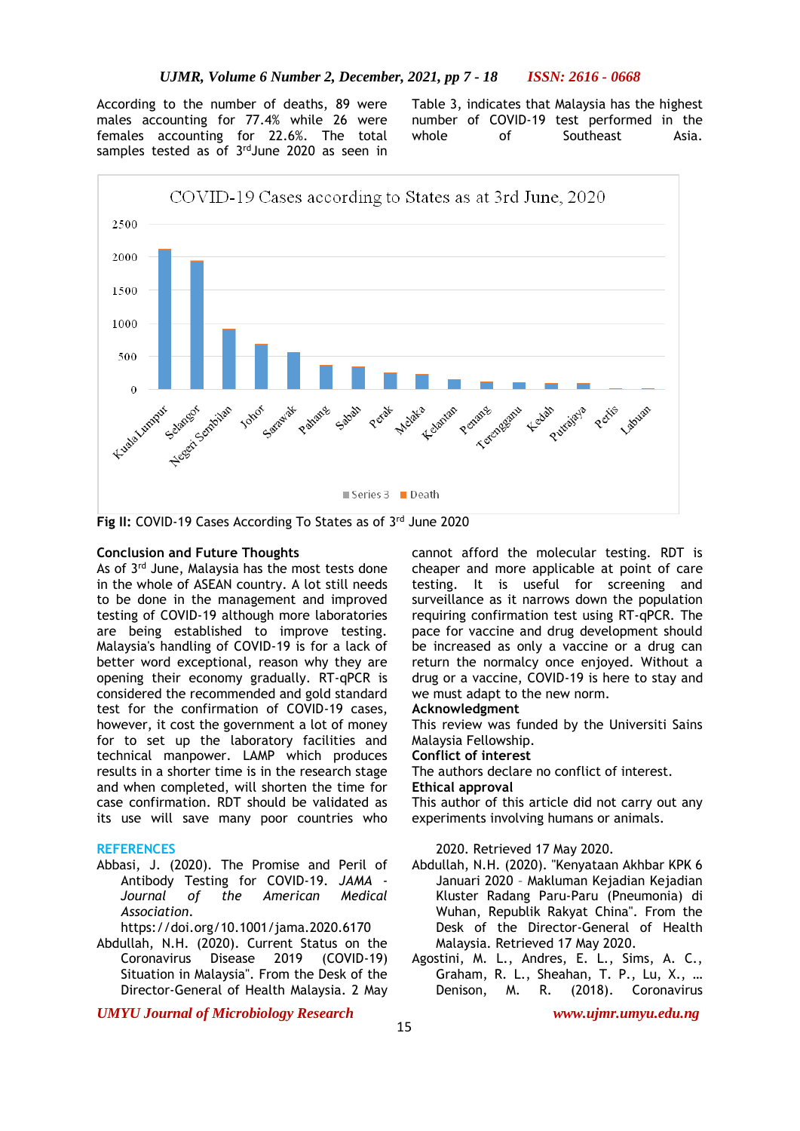According to the number of deaths, 89 were males accounting for 77.4% while 26 were females accounting for 22.6%. The total samples tested as of 3<sup>rd</sup>June 2020 as seen in

Table 3, indicates that Malaysia has the highest number of COVID-19 test performed in the whole of Southeast Asia.



Fig II: COVID-19 Cases According To States as of 3<sup>rd</sup> June 2020

### **Conclusion and Future Thoughts**

As of 3<sup>rd</sup> June, Malaysia has the most tests done in the whole of ASEAN country. A lot still needs to be done in the management and improved testing of COVID-19 although more laboratories are being established to improve testing. Malaysia's handling of COVID-19 is for a lack of better word exceptional, reason why they are opening their economy gradually. RT-qPCR is considered the recommended and gold standard test for the confirmation of COVID-19 cases, however, it cost the government a lot of money for to set up the laboratory facilities and technical manpower. LAMP which produces results in a shorter time is in the research stage and when completed, will shorten the time for case confirmation. RDT should be validated as its use will save many poor countries who

### **REFERENCES**

Abbasi, J. (2020). The Promise and Peril of Antibody Testing for COVID-19. *JAMA - Journal of the American Medical Association*.

https://doi.org/10.1001/jama.2020.6170

Abdullah, N.H. (2020). Current Status on the Coronavirus Disease 2019 (COVID-19) Situation in Malaysia". From the Desk of the Director-General of Health Malaysia. 2 May

*UMYU Journal of Microbiology Research www.ujmr.umyu.edu.ng*

cannot afford the molecular testing. RDT is cheaper and more applicable at point of care testing. It is useful for screening and surveillance as it narrows down the population requiring confirmation test using RT-qPCR. The pace for vaccine and drug development should be increased as only a vaccine or a drug can return the normalcy once enjoyed. Without a drug or a vaccine, COVID-19 is here to stay and we must adapt to the new norm.

#### **Acknowledgment**

This review was funded by the Universiti Sains Malaysia Fellowship.

# **Conflict of interest**

The authors declare no conflict of interest.

### **Ethical approval**

This author of this article did not carry out any experiments involving humans or animals.

2020. Retrieved 17 May 2020.

- Abdullah, N.H. (2020). "Kenyataan Akhbar KPK 6 Januari 2020 – Makluman Kejadian Kejadian Kluster Radang Paru-Paru (Pneumonia) di Wuhan, Republik Rakyat China". From the Desk of the Director-General of Health Malaysia. Retrieved 17 May 2020.
- Agostini, M. L., Andres, E. L., Sims, A. C., Graham, R. L., Sheahan, T. P., Lu, X., … Denison, M. R. (2018). Coronavirus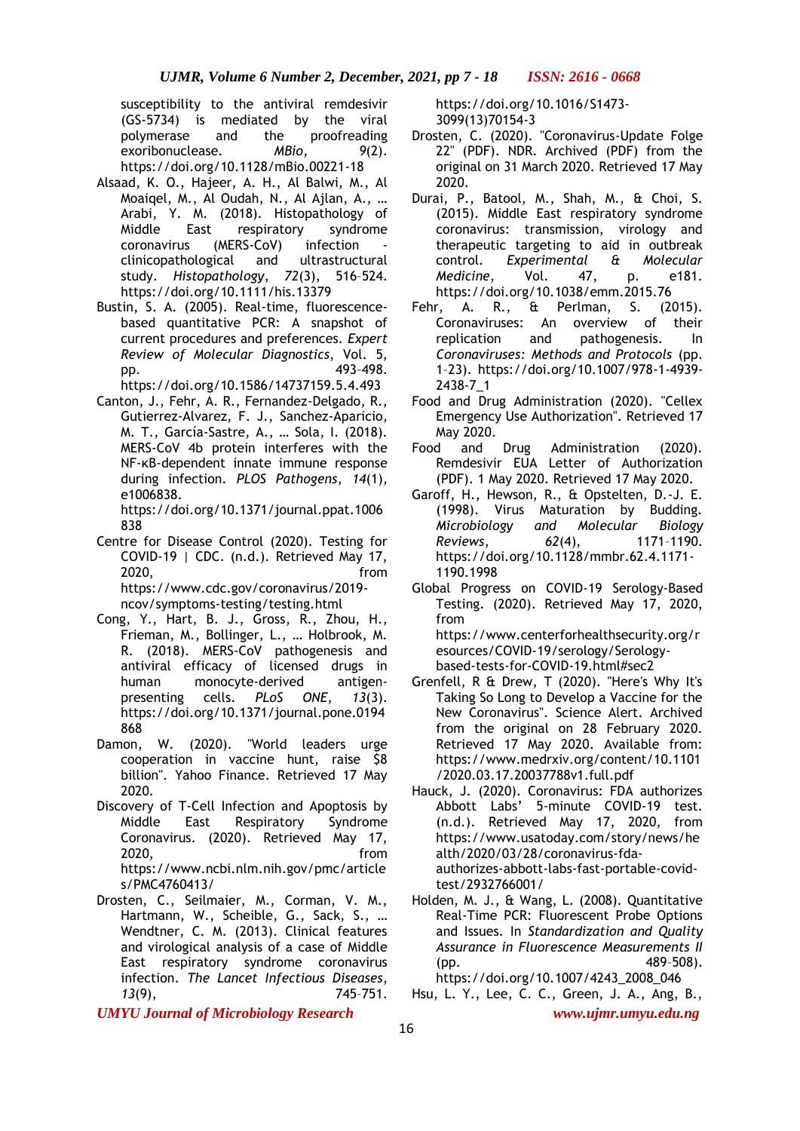susceptibility to the antiviral remdesivir (GS-5734) is mediated by the viral polymerase and the proofreading exoribonuclease. *MBio*, *9*(2). https://doi.org/10.1128/mBio.00221-18

- Alsaad, K. O., Hajeer, A. H., Al Balwi, M., Al Moaiqel, M., Al Oudah, N., Al Ajlan, A., … Arabi, Y. M. (2018). Histopathology of Middle East respiratory syndrome coronavirus (MERS-CoV) infection clinicopathological and ultrastructural study. *Histopathology*, *72*(3), 516–524. https://doi.org/10.1111/his.13379
- Bustin, S. A. (2005). Real-time, fluorescencebased quantitative PCR: A snapshot of current procedures and preferences. *Expert Review of Molecular Diagnostics*, Vol. 5, pp. 493–498.

https://doi.org/10.1586/14737159.5.4.493

Canton, J., Fehr, A. R., Fernandez-Delgado, R., Gutierrez-Alvarez, F. J., Sanchez-Aparicio, M. T., García-Sastre, A., … Sola, I. (2018). MERS-CoV 4b protein interferes with the NF-κB-dependent innate immune response during infection. *PLOS Pathogens*, *14*(1), e1006838.

https://doi.org/10.1371/journal.ppat.1006 838

- Centre for Disease Control (2020). Testing for COVID-19 | CDC. (n.d.). Retrieved May 17, 2020, from https://www.cdc.gov/coronavirus/2019 ncov/symptoms-testing/testing.html
- Cong, Y., Hart, B. J., Gross, R., Zhou, H., Frieman, M., Bollinger, L., … Holbrook, M. R. (2018). MERS-CoV pathogenesis and antiviral efficacy of licensed drugs in human monocyte-derived antigenpresenting cells. *PLoS ONE*, *13*(3). https://doi.org/10.1371/journal.pone.0194 868
- Damon, W. (2020). "World leaders urge cooperation in vaccine hunt, raise \$8 billion". Yahoo Finance. Retrieved 17 May 2020.
- Discovery of T-Cell Infection and Apoptosis by Middle East Respiratory Syndrome Coronavirus. (2020). Retrieved May 17, 2020, from https://www.ncbi.nlm.nih.gov/pmc/article s/PMC4760413/
- Drosten, C., Seilmaier, M., Corman, V. M., Hartmann, W., Scheible, G., Sack, S., … Wendtner, C. M. (2013). Clinical features and virological analysis of a case of Middle East respiratory syndrome coronavirus infection. *The Lancet Infectious Diseases*, *13*(9), 745–751.

https://doi.org/10.1016/S1473- 3099(13)70154-3

- Drosten, C. (2020). "Coronavirus-Update Folge 22" (PDF). NDR. Archived (PDF) from the original on 31 March 2020. Retrieved 17 May 2020.
- Durai, P., Batool, M., Shah, M., & Choi, S. (2015). Middle East respiratory syndrome coronavirus: transmission, virology and therapeutic targeting to aid in outbreak control. *Experimental & Molecular Medicine*, Vol. 47, p. e181. https://doi.org/10.1038/emm.2015.76
- Fehr, A. R., & Perlman, S. (2015). Coronaviruses: An overview of their replication and pathogenesis. In *Coronaviruses: Methods and Protocols* (pp. 1–23). https://doi.org/10.1007/978-1-4939- 2438-7\_1
- Food and Drug Administration (2020). "Cellex Emergency Use Authorization". Retrieved 17 May 2020.
- Food and Drug Administration (2020). Remdesivir EUA Letter of Authorization (PDF). 1 May 2020. Retrieved 17 May 2020.
- Garoff, H., Hewson, R., & Opstelten, D.-J. E. (1998). Virus Maturation by Budding. *Microbiology and Molecular Biology Reviews*, *62*(4), 1171–1190. https://doi.org/10.1128/mmbr.62.4.1171- 1190.1998
- Global Progress on COVID-19 Serology-Based Testing. (2020). Retrieved May 17, 2020, from https://www.centerforhealthsecurity.org/r esources/COVID-19/serology/Serologybased-tests-for-COVID-19.html#sec2
- Grenfell, R & Drew, T (2020). "Here's Why It's Taking So Long to Develop a Vaccine for the New Coronavirus". Science Alert. Archived from the original on 28 February 2020. Retrieved 17 May 2020. Available from: https://www.medrxiv.org/content/10.1101 /2020.03.17.20037788v1.full.pdf
- Hauck, J. (2020). Coronavirus: FDA authorizes Abbott Labs' 5-minute COVID-19 test. (n.d.). Retrieved May 17, 2020, from https://www.usatoday.com/story/news/he alth/2020/03/28/coronavirus-fdaauthorizes-abbott-labs-fast-portable-covidtest/2932766001/
- Holden, M. J., & Wang, L. (2008). Quantitative Real-Time PCR: Fluorescent Probe Options and Issues. In *Standardization and Quality Assurance in Fluorescence Measurements II* (pp. 489–508).
- https://doi.org/10.1007/4243\_2008\_046 Hsu, L. Y., Lee, C. C., Green, J. A., Ang, B.,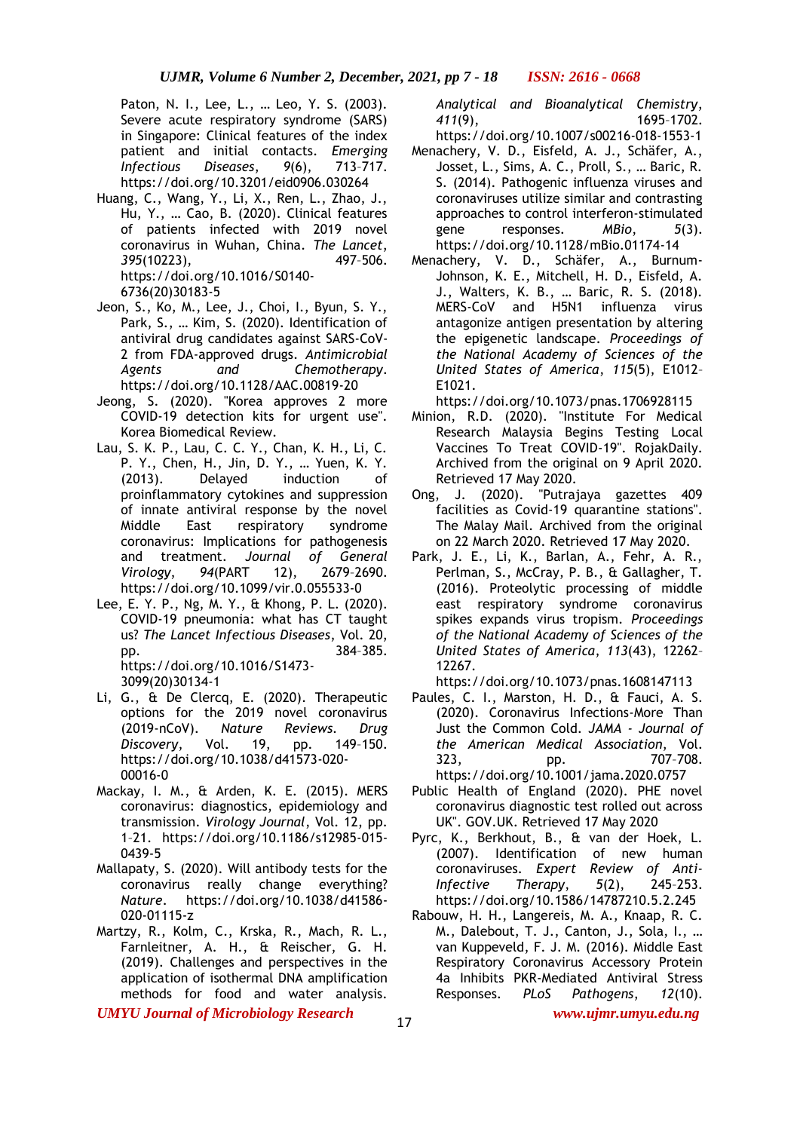Paton, N. I., Lee, L., … Leo, Y. S. (2003). Severe acute respiratory syndrome (SARS) in Singapore: Clinical features of the index patient and initial contacts. *Emerging Infectious Diseases*, *9*(6), 713–717. https://doi.org/10.3201/eid0906.030264

- Huang, C., Wang, Y., Li, X., Ren, L., Zhao, J., Hu, Y., … Cao, B. (2020). Clinical features of patients infected with 2019 novel coronavirus in Wuhan, China. *The Lancet*, *395*(10223), 497–506. https://doi.org/10.1016/S0140- 6736(20)30183-5
- Jeon, S., Ko, M., Lee, J., Choi, I., Byun, S. Y., Park, S., … Kim, S. (2020). Identification of antiviral drug candidates against SARS-CoV-2 from FDA-approved drugs. *Antimicrobial Agents and Chemotherapy*. https://doi.org/10.1128/AAC.00819-20
- Jeong, S. (2020). "Korea approves 2 more COVID-19 detection kits for urgent use". Korea Biomedical Review.
- Lau, S. K. P., Lau, C. C. Y., Chan, K. H., Li, C. P. Y., Chen, H., Jin, D. Y., … Yuen, K. Y. (2013). Delayed induction of proinflammatory cytokines and suppression of innate antiviral response by the novel Middle East respiratory syndrome coronavirus: Implications for pathogenesis and treatment. *Journal of General Virology*, *94*(PART 12), 2679–2690. https://doi.org/10.1099/vir.0.055533-0
- Lee, E. Y. P., Ng, M. Y., & Khong, P. L. (2020). COVID-19 pneumonia: what has CT taught us? *The Lancet Infectious Diseases*, Vol. 20, pp. 384–385. https://doi.org/10.1016/S1473- 3099(20)30134-1
- Li, G., & De Clercq, E. (2020). Therapeutic options for the 2019 novel coronavirus (2019-nCoV). *Nature Reviews. Drug Discovery*, Vol. 19, pp. 149–150. https://doi.org/10.1038/d41573-020- 00016-0
- Mackay, I. M., & Arden, K. E. (2015). MERS coronavirus: diagnostics, epidemiology and transmission. *Virology Journal*, Vol. 12, pp. 1–21. https://doi.org/10.1186/s12985-015- 0439-5
- Mallapaty, S. (2020). Will antibody tests for the coronavirus really change everything? *Nature*. https://doi.org/10.1038/d41586- 020-01115-z
- Martzy, R., Kolm, C., Krska, R., Mach, R. L., Farnleitner, A. H., & Reischer, G. H. (2019). Challenges and perspectives in the application of isothermal DNA amplification methods for food and water analysis.

*UMYU Journal of Microbiology Research www.ujmr.umyu.edu.ng*

*Analytical and Bioanalytical Chemistry*, *411*(9), 1695–1702.

- https://doi.org/10.1007/s00216-018-1553-1 Menachery, V. D., Eisfeld, A. J., Schäfer, A., Josset, L., Sims, A. C., Proll, S., … Baric, R. S. (2014). Pathogenic influenza viruses and coronaviruses utilize similar and contrasting approaches to control interferon-stimulated gene responses. *MBio*, *5*(3). https://doi.org/10.1128/mBio.01174-14
- Menachery, V. D., Schäfer, A., Burnum-Johnson, K. E., Mitchell, H. D., Eisfeld, A. J., Walters, K. B., … Baric, R. S. (2018). MERS-CoV and H5N1 influenza virus antagonize antigen presentation by altering the epigenetic landscape. *Proceedings of the National Academy of Sciences of the United States of America*, *115*(5), E1012– E1021.

https://doi.org/10.1073/pnas.1706928115

- Minion, R.D. (2020). "Institute For Medical Research Malaysia Begins Testing Local Vaccines To Treat COVID-19". RojakDaily. Archived from the original on 9 April 2020. Retrieved 17 May 2020.
- Ong, J. (2020). "Putrajaya gazettes 409 facilities as Covid-19 quarantine stations". The Malay Mail. Archived from the original on 22 March 2020. Retrieved 17 May 2020.
- Park, J. E., Li, K., Barlan, A., Fehr, A. R., Perlman, S., McCray, P. B., & Gallagher, T. (2016). Proteolytic processing of middle east respiratory syndrome coronavirus spikes expands virus tropism. *Proceedings of the National Academy of Sciences of the United States of America*, *113*(43), 12262– 12267.
	- https://doi.org/10.1073/pnas.1608147113
- Paules, C. I., Marston, H. D., & Fauci, A. S. (2020). Coronavirus Infections-More Than Just the Common Cold. *JAMA - Journal of the American Medical Association*, Vol. 323, pp. 707–708. https://doi.org/10.1001/jama.2020.0757
- Public Health of England (2020). PHE novel coronavirus diagnostic test rolled out across UK". GOV.UK. Retrieved 17 May 2020
- Pyrc, K., Berkhout, B., & van der Hoek, L. (2007). Identification of new human coronaviruses. *Expert Review of Anti-Infective Therapy*, *5*(2), 245–253. https://doi.org/10.1586/14787210.5.2.245
- Rabouw, H. H., Langereis, M. A., Knaap, R. C. M., Dalebout, T. J., Canton, J., Sola, I., … van Kuppeveld, F. J. M. (2016). Middle East Respiratory Coronavirus Accessory Protein 4a Inhibits PKR-Mediated Antiviral Stress Responses. *PLoS Pathogens*, *12*(10).